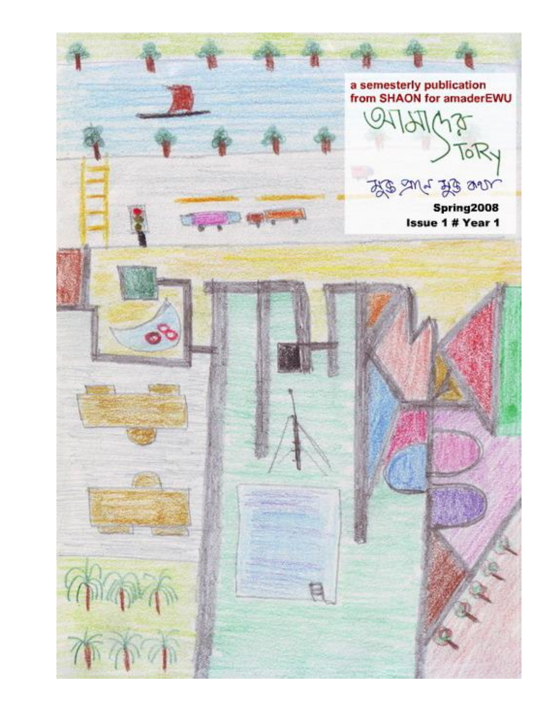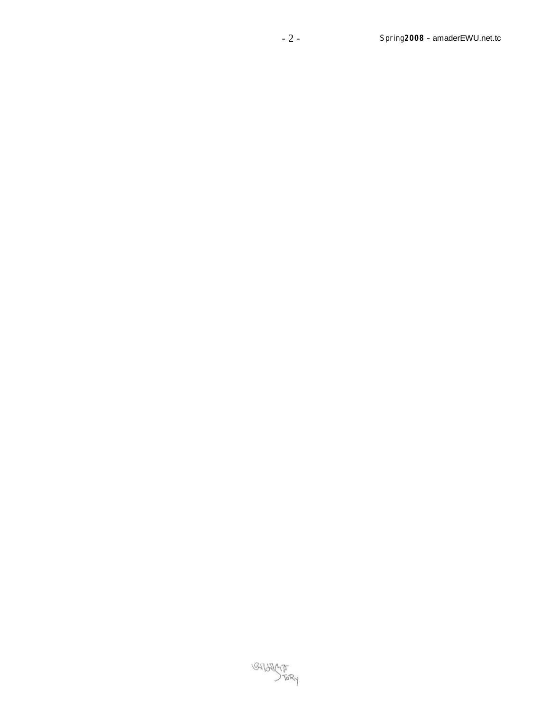$-2-$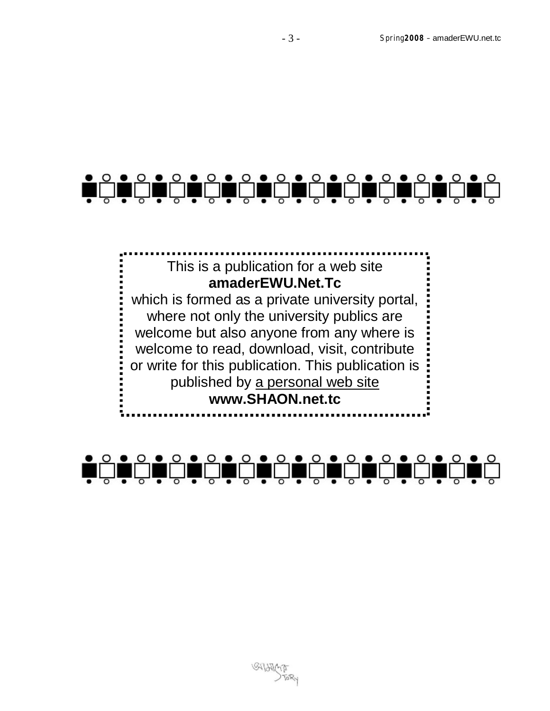





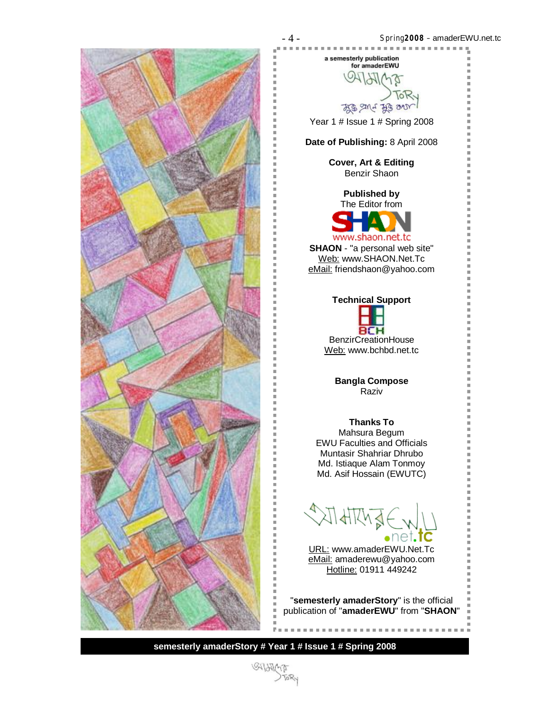

a semesterly publication for amaderEWU  $O(X)/A'$ SE SWY 313 an Year 1 # Issue 1 # Spring 2008 **Date of Publishing:** 8 April 2008 **Cover, Art & Editing**  Benzir Shaon **Published by**  The Editor from www.shaon.net.tc **SHAON** - "a personal web site" Web: www.SHAON.Net.Tc eMail: friendshaon@yahoo.com **Technical Support BenzirCreationHouse** Web: www.bchbd.net.tc **Bangla Compose**  Raziv **Thanks To**  Mahsura Begum EWU Faculties and Officials Muntasir Shahriar Dhrubo Md. Istiaque Alam Tonmoy Md. Asif Hossain (EWUTC) **DENTHELL** 

URL: www.amaderEWU.Net.Tc eMail: amaderewu@yahoo.com Hotline: 01911 449242

"**semesterly amaderStory**" is the official publication of "**amaderEWU**" from "**SHAON**"

**semesterly amaderStory # Year 1 # Issue 1 # Spring 2008**

UP JERY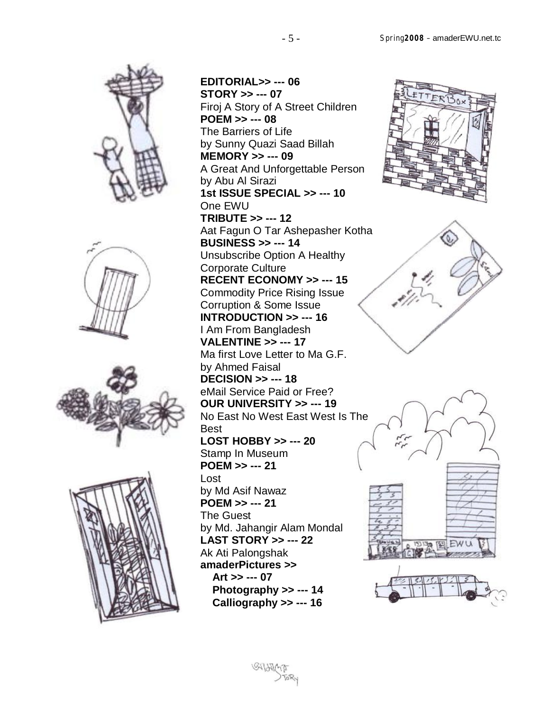







**EDITORIAL>> --- 06 STORY >> --- 07**  Firoj A Story of A Street Children **POEM >> --- 08**  The Barriers of Life by Sunny Quazi Saad Billah **MEMORY >> --- 09**  A Great And Unforgettable Person by Abu Al Sirazi **1st ISSUE SPECIAL >> --- 10**  One EWU **TRIBUTE >> --- 12**  Aat Fagun O Tar Ashepasher Kotha **BUSINESS >> --- 14**  Unsubscribe Option A Healthy Corporate Culture **RECENT ECONOMY >> --- 15**  Commodity Price Rising Issue Corruption & Some Issue **INTRODUCTION >> --- 16**  I Am From Bangladesh **VALENTINE >> --- 17**  Ma first Love Letter to Ma G.F. by Ahmed Faisal **DECISION >> --- 18**  eMail Service Paid or Free? **OUR UNIVERSITY >> --- 19**  No East No West East West Is The Best **LOST HOBBY >> --- 20**  Stamp In Museum **POEM >> --- 21**  Lost by Md Asif Nawaz **POEM >> --- 21**  The Guest by Md. Jahangir Alam Mondal **LAST STORY >> --- 22**  Ak Ati Palongshak **amaderPictures >> Art >> --- 07 Photography >> --- 14 Calliography >> --- 16**









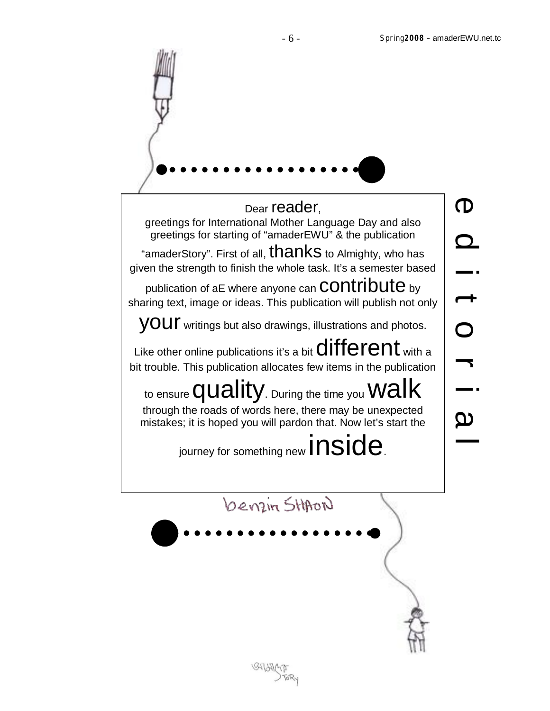

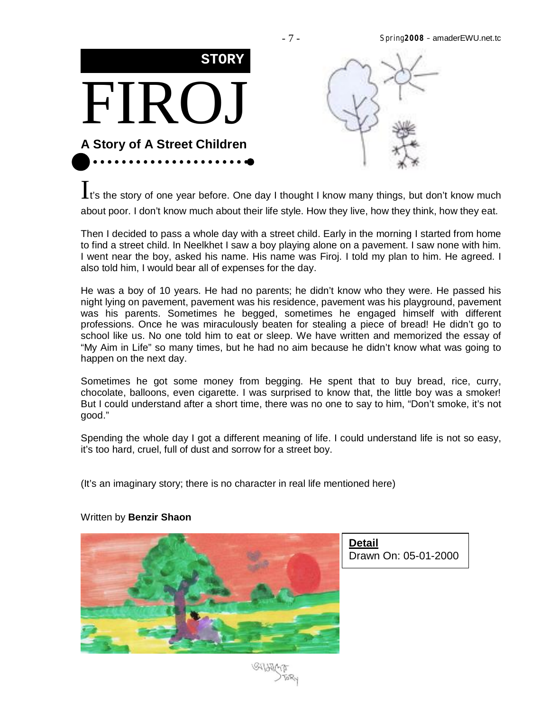

 $\mathbf{I}$ t's the story of one year before. One day I thought I know many things, but don't know much about poor. I don't know much about their life style. How they live, how they think, how they eat.

Then I decided to pass a whole day with a street child. Early in the morning I started from home to find a street child. In Neelkhet I saw a boy playing alone on a pavement. I saw none with him. I went near the boy, asked his name. His name was Firoj. I told my plan to him. He agreed. I also told him, I would bear all of expenses for the day.

He was a boy of 10 years. He had no parents; he didn't know who they were. He passed his night lying on pavement, pavement was his residence, pavement was his playground, pavement was his parents. Sometimes he begged, sometimes he engaged himself with different professions. Once he was miraculously beaten for stealing a piece of bread! He didn't go to school like us. No one told him to eat or sleep. We have written and memorized the essay of "My Aim in Life" so many times, but he had no aim because he didn't know what was going to happen on the next day.

Sometimes he got some money from begging. He spent that to buy bread, rice, curry, chocolate, balloons, even cigarette. I was surprised to know that, the little boy was a smoker! But I could understand after a short time, there was no one to say to him, "Don't smoke, it's not good."

Spending the whole day I got a different meaning of life. I could understand life is not so easy, it's too hard, cruel, full of dust and sorrow for a street boy.

(It's an imaginary story; there is no character in real life mentioned here)



#### Written by **Benzir Shaon**

**Detail** Drawn On: 05-01-2000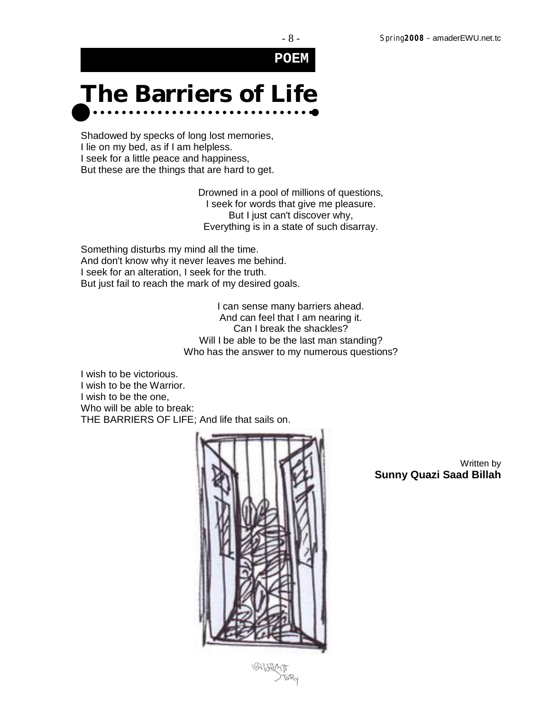**POEM**

### **The Barriers of Life**

Shadowed by specks of long lost memories, I lie on my bed, as if I am helpless. I seek for a little peace and happiness, But these are the things that are hard to get.

> Drowned in a pool of millions of questions, I seek for words that give me pleasure. But I just can't discover why, Everything is in a state of such disarray.

Something disturbs my mind all the time. And don't know why it never leaves me behind. I seek for an alteration, I seek for the truth. But just fail to reach the mark of my desired goals.

> I can sense many barriers ahead. And can feel that I am nearing it. Can I break the shackles? Will I be able to be the last man standing? Who has the answer to my numerous questions?

I wish to be victorious. I wish to be the Warrior. I wish to be the one, Who will be able to break: THE BARRIERS OF LIFE; And life that sails on.



**GRATCA** 

Written by **Sunny Quazi Saad Billah**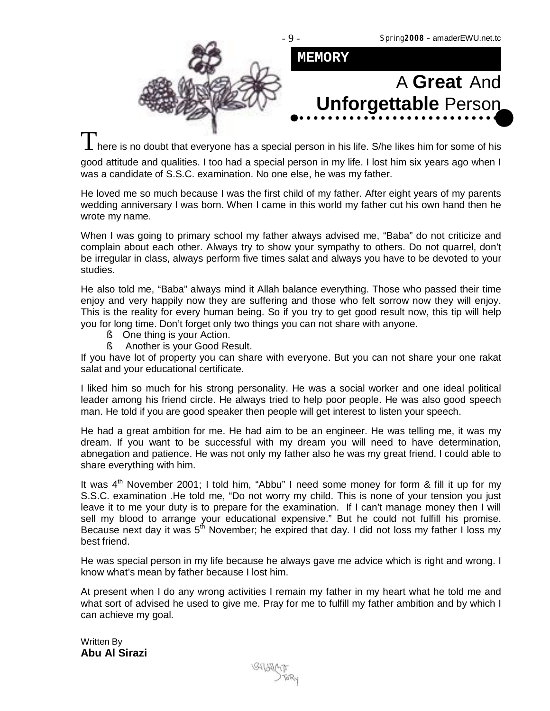

 $\perp$  here is no doubt that everyone has a special person in his life. S/he likes him for some of his good attitude and qualities. I too had a special person in my life. I lost him six years ago when I was a candidate of S.S.C. examination. No one else, he was my father.

He loved me so much because I was the first child of my father. After eight years of my parents wedding anniversary I was born. When I came in this world my father cut his own hand then he wrote my name.

When I was going to primary school my father always advised me, "Baba" do not criticize and complain about each other. Always try to show your sympathy to others. Do not quarrel, don't be irregular in class, always perform five times salat and always you have to be devoted to your studies.

He also told me, "Baba" always mind it Allah balance everything. Those who passed their time enjoy and very happily now they are suffering and those who felt sorrow now they will enjoy. This is the reality for every human being. So if you try to get good result now, this tip will help you for long time. Don't forget only two things you can not share with anyone.

- § One thing is your Action.
- § Another is your Good Result.

If you have lot of property you can share with everyone. But you can not share your one rakat salat and your educational certificate.

I liked him so much for his strong personality. He was a social worker and one ideal political leader among his friend circle. He always tried to help poor people. He was also good speech man. He told if you are good speaker then people will get interest to listen your speech.

He had a great ambition for me. He had aim to be an engineer. He was telling me, it was my dream. If you want to be successful with my dream you will need to have determination, abnegation and patience. He was not only my father also he was my great friend. I could able to share everything with him.

It was 4<sup>th</sup> November 2001; I told him, "Abbu" I need some money for form & fill it up for my S.S.C. examination .He told me, "Do not worry my child. This is none of your tension you just leave it to me your duty is to prepare for the examination. If I can't manage money then I will sell my blood to arrange your educational expensive." But he could not fulfill his promise. Because next day it was  $5<sup>th</sup>$  November; he expired that day. I did not loss my father I loss my best friend.

He was special person in my life because he always gave me advice which is right and wrong. I know what's mean by father because I lost him.

At present when I do any wrong activities I remain my father in my heart what he told me and what sort of advised he used to give me. Pray for me to fulfill my father ambition and by which I can achieve my goal.

Written By **Abu Al Sirazi**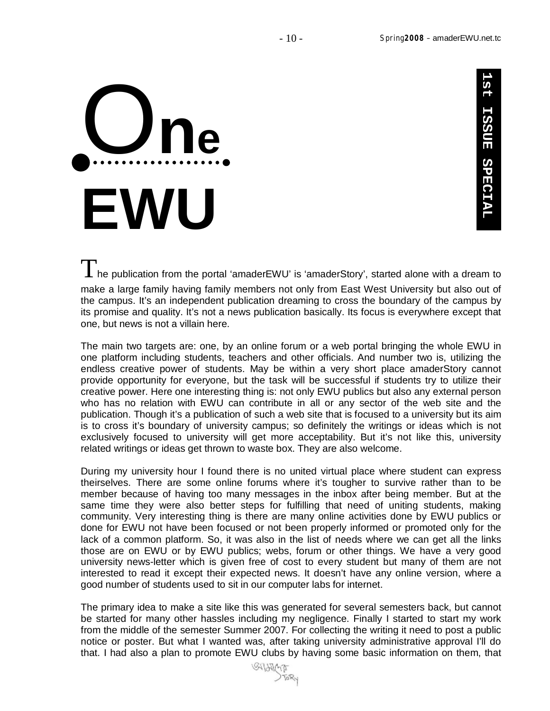# O**<sup>n</sup><sup>e</sup> EWU**

**1 s t I S S U E S P E C I A L**

The publication from the portal 'amaderEWU' is 'amaderStory', started alone with a dream to make a large family having family members not only from East West University but also out of the campus. It's an independent publication dreaming to cross the boundary of the campus by its promise and quality. It's not a news publication basically. Its focus is everywhere except that one, but news is not a villain here.

The main two targets are: one, by an online forum or a web portal bringing the whole EWU in one platform including students, teachers and other officials. And number two is, utilizing the endless creative power of students. May be within a very short place amaderStory cannot provide opportunity for everyone, but the task will be successful if students try to utilize their creative power. Here one interesting thing is: not only EWU publics but also any external person who has no relation with EWU can contribute in all or any sector of the web site and the publication. Though it's a publication of such a web site that is focused to a university but its aim is to cross it's boundary of university campus; so definitely the writings or ideas which is not exclusively focused to university will get more acceptability. But it's not like this, university related writings or ideas get thrown to waste box. They are also welcome.

During my university hour I found there is no united virtual place where student can express theirselves. There are some online forums where it's tougher to survive rather than to be member because of having too many messages in the inbox after being member. But at the same time they were also better steps for fulfilling that need of uniting students, making community. Very interesting thing is there are many online activities done by EWU publics or done for EWU not have been focused or not been properly informed or promoted only for the lack of a common platform. So, it was also in the list of needs where we can get all the links those are on EWU or by EWU publics; webs, forum or other things. We have a very good university news-letter which is given free of cost to every student but many of them are not interested to read it except their expected news. It doesn't have any online version, where a good number of students used to sit in our computer labs for internet.

The primary idea to make a site like this was generated for several semesters back, but cannot be started for many other hassles including my negligence. Finally I started to start my work from the middle of the semester Summer 2007. For collecting the writing it need to post a public notice or poster. But what I wanted was, after taking university administrative approval I'll do that. I had also a plan to promote EWU clubs by having some basic information on them, that

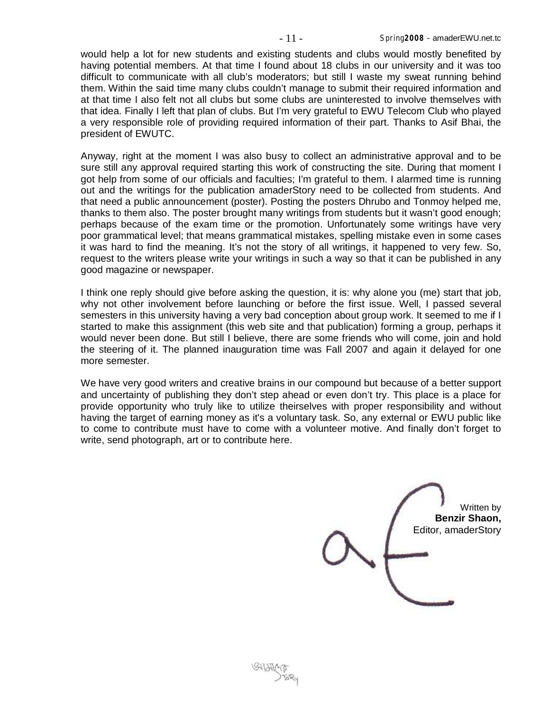would help a lot for new students and existing students and clubs would mostly benefited by having potential members. At that time I found about 18 clubs in our university and it was too difficult to communicate with all club's moderators; but still I waste my sweat running behind them. Within the said time many clubs couldn't manage to submit their required information and at that time I also felt not all clubs but some clubs are uninterested to involve themselves with that idea. Finally I left that plan of clubs. But I'm very grateful to EWU Telecom Club who played a very responsible role of providing required information of their part. Thanks to Asif Bhai, the president of EWUTC.

Anyway, right at the moment I was also busy to collect an administrative approval and to be sure still any approval required starting this work of constructing the site. During that moment I got help from some of our officials and faculties; I'm grateful to them. I alarmed time is running out and the writings for the publication amaderStory need to be collected from students. And that need a public announcement (poster). Posting the posters Dhrubo and Tonmoy helped me, thanks to them also. The poster brought many writings from students but it wasn't good enough; perhaps because of the exam time or the promotion. Unfortunately some writings have very poor grammatical level; that means grammatical mistakes, spelling mistake even in some cases it was hard to find the meaning. It's not the story of all writings, it happened to very few. So, request to the writers please write your writings in such a way so that it can be published in any good magazine or newspaper.

I think one reply should give before asking the question, it is: why alone you (me) start that job, why not other involvement before launching or before the first issue. Well, I passed several semesters in this university having a very bad conception about group work. It seemed to me if I started to make this assignment (this web site and that publication) forming a group, perhaps it would never been done. But still I believe, there are some friends who will come, join and hold the steering of it. The planned inauguration time was Fall 2007 and again it delayed for one more semester.

We have very good writers and creative brains in our compound but because of a better support and uncertainty of publishing they don't step ahead or even don't try. This place is a place for provide opportunity who truly like to utilize theirselves with proper responsibility and without having the target of earning money as it's a voluntary task. So, any external or EWU public like to come to contribute must have to come with a volunteer motive. And finally don't forget to write, send photograph, art or to contribute here.

Written by **Benzir Shaon,**  Editor, amaderStory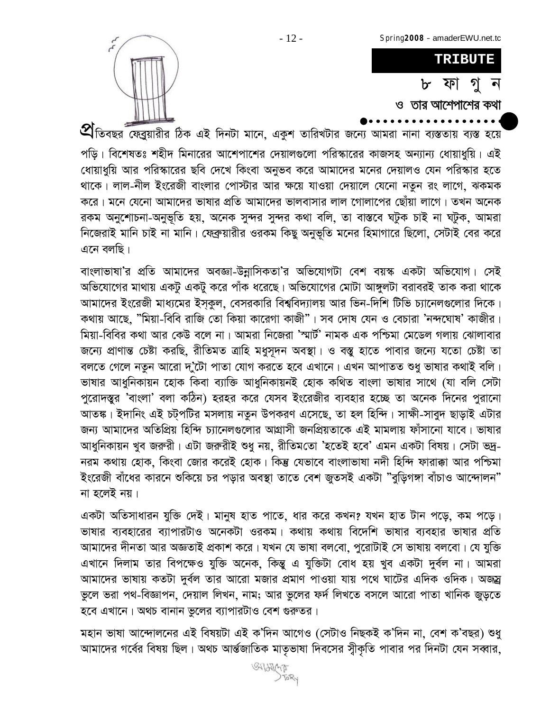**TRIBUTE** 

ও তার আশেপাশের কথা

 $\mathfrak A$ তিবছর ফেব্রয়ারীর ঠিক এই দিনটা মানে, একুশ তারিখটার জন্যে আমরা নানা ব্যস্ততায় ব্যস্ত হয়ে পড়ি। বিশেষতঃ শহীদ মিনারের আশেপাশের দেয়ালগুলো পরিস্কারের কাজসহ অন্যান্য ধোয়াধুয়ি। এই ধোয়াধুয়ি আর পরিস্কারের ছবি দেখে কিংবা অনুভব করে আমাদের মনের দেয়ালও যেন পরিস্কার হতে থাকে। লাল-নীল ইংরেজী বাংলার পোস্টার আর ক্ষয়ে যাওয়া দেয়ালে যেনো নতুন রং লাগে, ঝকমক করে। মনে যেনো আমাদের ভাষার প্রতি আমাদের ভালবাসার লাল গোলাপের ছোঁয়া লাগে। তখন অনেক রকম অনুশোচনা-অনুভূতি হয়, অনেক সুন্দর সুন্দর কথা বলি, তা বাস্তবে ঘটুক চাই না ঘটুক, আমরা নিজেরাই মানি চাই না মানি। ফেব্রুয়ারীর ওরকম কিছু অনুভূতি মনের হিমাগারে ছিলো, সেটাই বের করে এনে বলছি।

বাংলাভাষা'র প্রতি আমাদের অবজ্ঞা-উন্নাসিকতা'র অভিযোগটা বেশ বয়স্ক একটা অভিযোগ। সেই অভিযোগের মাথায় একটু একটু করে পাঁক ধরেছে। অভিযোগের মোটা আঙ্গুলটা বরাবরই তাক করা থাকে আমাদের ইংরেজী মাধ্যমের ইস্কুল, বেসরকারি বিশ্ববিদ্যালয় আর ভিন-দিশি টিভি চ্যানেলগুলোর দিকে। কথায় আছে, "মিয়া-বিবি রাজি তো কিয়া কারেগা কাজী"। সব দোষ যেন ও বেচারা 'নন্দঘোষ' কাজীর। মিয়া-বিবির কথা আর কেউ বলে না। আমরা নিজেরা 'স্মার্ট' নামক এক পশ্চিমা মেডেল গলায় ঝোলাবার জন্যে প্রাণান্ত চেষ্টা করছি, রীতিমত ত্রাহি মধুসূদন অবস্থা। ও বস্তু হাতে পাবার জন্যে যতো চেষ্টা তা বলতে গেলে নতুন আরো দ'টো পাতা যোগ করতে হবে এখানে। এখন আপাতত শুধু ভাষার কথাই বলি। ভাষার আধুনিকায়ন হোক কিবা ব্যাক্তি আধুনিকায়নই হোক কথিত বাংলা ভাষার সাথে (যা বলি সেটা পুরোদস্তুর 'বাংলা' বলা কঠিন) হরহর করে যেসব ইংরেজীর ব্যবহার হচ্ছে তা অনেক দিনের পুরানো ্ন<br>আতঙ্ক। ইদানিং এই চটপটির মসলায় নতুন উপকরণ এসেছে, তা হল হিন্দি। সাক্ষী-সাবুদ ছাড়াই এটার জন্য আমাদের অতিপ্রিয় হিন্দি চ্যানেলগুলোর অা্থাসী জনপ্রিয়তাকে এই মামলায় ফাঁসানো যাবে। ভাষার আধুনিকায়ন খুব জরুরী। এটা জরুরীই শুধু নয়, রীতিমতো 'হতেই হবে' এমন একটা বিষয়। সেটা ভদ্র-নরম কথায় হোক, কিংবা জোর করেই হোক। কিন্তু যেভাবে বাংলাভাষা নদী হিন্দি ফারাক্কা আর পশ্চিমা ইংরেজী বাঁধের কারনে শুকিয়ে চর পড়ার অবস্থা তাতে বেশ জুতসই একটা "বুড়িগঙ্গা বাঁচাও আন্দোলন" না হলেই নয়।

একটা অতিসাধারন যুক্তি দেই। মানুষ হাত পাতে, ধার করে কখন? যখন হাত টান পড়ে, কম পড়ে। ভাষার ব্যবহারের ব্যাপারটাও অনেকটা ওরকম। কথায় কথায় বিদেশি ভাষার ব্যবহার ভাষার প্রতি আমাদের দীনতা আর অজ্ঞতাই প্রকাশ করে। যখন যে ভাষা বলবো, পুরোটাই সে ভাষায় বলবো। যে যুক্তি এখানে দিলাম তার বিপক্ষেও যুক্তি অনেক, কিন্তু এ যুক্তিটা বোধ হয় খুব একটা দুর্বল না। আমরা আমাদের ভাষায় কতটা দুর্বল তার আরো মজার প্রমাণ পাওয়া যায় পথে ঘাটের এদিক ওদিক। অজ্ঞ ভুলে ভরা পথ-বিজ্ঞাপন, দেয়াল লিখন, নাম; আর ভুলের ফর্দ লিখতে বসলে আরো পাতা খানিক জুড়তে হবে এখানে। অথচ বানান ভুলের ব্যাপারটাও বেশ গুরুতর।

মহান ভাষা আন্দোলনের এই বিষয়টা এই ক'দিন আগেও (সেটাও নিছকই ক'দিন না, বেশ ক'বছর) শুধু আমাদের গর্বের বিষয় ছিল। অথচ আর্ন্তজাতিক মাতৃভাষা দিবসের স্বীকৃতি পাবার পর দিনটা যেন সব্বার,

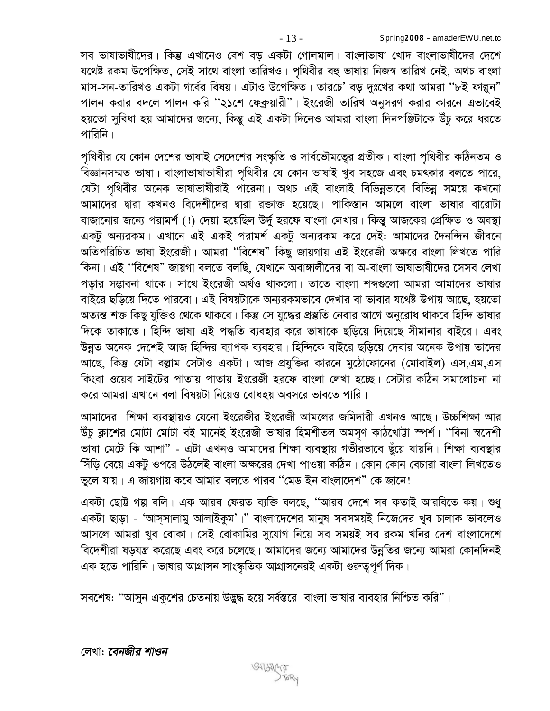$-13-$ 

পৃথিবীর যে কোন দেশের ভাষাই সেদেশের সংস্কৃতি ও সার্বভৌমত্বের প্রতীক। বাংলা পৃথিবীর কঠিনতম ও বিজ্ঞানসম্মত ভাষা। বাংলাভাষাভাষীরা পৃথিবীর যে কোন ভাষাই খুব সহজে এবং চমৎকার বলতে পারে, যেটা পৃথিবীর অনেক ভাষাভাষীরাই পারেনা। অথচ এই বাংলাই বিভিন্নভাবে বিভিন্ন সময়ে কখনো আমাদের দ্বারা কখনও বিদেশীদের দ্বারা রক্তাক্ত হয়েছে। পাকিস্তান আমলে বাংলা ভাষার বারোটা বাজানোর জন্যে পরামর্শ (!) দেয়া হয়েছিল উর্দু হরফে বাংলা লেখার। কিন্তু আজকের প্রেক্ষিত ও অবস্থা একটু অন্যরকম। এখানে এই একই পরামর্শ একটু অন্যরকম করে দেই: আমাদের দৈনন্দিন জীবনে অতিপরিচিত ভাষা ইংরেজী। আমরা ''বিশেষ" কিছু জায়গায় এই ইংরেজী অক্ষরে বাংলা লিখতে পারি কিনা। এই ''বিশেষ" জায়গা বলতে বলছি, যেখানে অবাঙ্গালীদের বা অ-বাংলা ভাষাভাষীদের সেসব লেখা পড়ার সম্ভাবনা থাকে। সাথে ইংরেজী অর্থও থাকলো। তাতে বাংলা শব্দগুলো আমরা আমাদের ভাষার বাইরে ছড়িয়ে দিতে পারবো। এই বিষয়টাকে অন্যরকমভাবে দেখার বা ভাবার যথেষ্ট উপায় আছে, হয়তো অত্যন্ত শক্ত কিছু যুক্তিও থেকে থাকবে। কিন্তু সে যুদ্ধের প্রস্তুতি নেবার আগে অনুরোধ থাকবে হিন্দি ভাষার দিকে তাকাতে। হিন্দি ভাষা এই পদ্ধতি ব্যবহার করে ভাষাকে ছড়িয়ে দিয়েছে সীমানার বাইরে। এবং উন্নত অনেক দেশেই আজ হিন্দির ব্যাপক ব্যবহার। হিন্দিকে বাইরে ছড়িয়ে দেবার অনেক উপায় তাদের আছে, কিন্তু যেটা বল্লাম সেটাও একটা। আজ প্রযুক্তির কারনে মুঠোফোনের (মোবাইল) এস,এম,এস কিংবা ওয়েব সাইটের পাতায় পাতায় ইংরেজী হরফে বাংলা লেখা হচ্ছে। সেটার কঠিন সমালোচনা না করে আমরা এখানে বলা বিষয়টা নিয়েও বোধহয় অবসরে ভাবতে পারি।

আমাদের শিক্ষা ব্যবস্থায়ও যেনো ইংরেজীর ইংরেজী আমলের জমিদারী এখনও আছে। উচ্চশিক্ষা আর উঁচু ক্লাশের মোটা মোটা বই মানেই ইংরেজী ভাষার হিমশীতল অমসৃণ কাঠখোট্টা স্পর্শ। ''বিনা স্বদেশী ভাষা মেটে কি আশা" - এটা এখনও আমাদের শিক্ষা ব্যবস্থায় গভীরভাবে ছুঁয়ে যায়নি। শিক্ষা ব্যবস্থার র্সিডি বেয়ে একট ওপরে উঠলেই বাংলা অক্ষরের দেখা পাওয়া কঠিন। কোন কোন বেচারা বাংলা লিখতেও ভুলে যায়। এ জায়গায় কবে আমার বলতে পারব ''মেড ইন বাংলাদেশ'' কে জানে!

একটা ছোট্ট গল্প বলি। এক আরব ফেরত ব্যক্তি বলছে, "আরব দেশে সব কতাই আরবিতে কয়। শুধু একটা ছাড়া - 'আসসালামু আলাইকুম'।" বাংলাদেশের মানুষ সবসময়ই নিজেদের খুব চালাক ভাবলেও আসলে আমরা খুব বোকা। সেই বোকামির সুযোগ নিয়ে সব সময়ই সব রকম খনির দেশ বাংলাদেশে বিদেশীরা ষড়যন্ত্র করেছে এবং করে চলেছে। আমাদের জন্যে আমাদের উন্নতির জন্যে আমরা কোনদিনই এক হতে পারিনি। ভাষার আগ্রাসন সাংস্কৃতিক আগ্রাসনেরই একটা গুরুত্বপূর্ণ দিক।

সবশেষ: ''আসুন একুশের চেতনায় উদ্ভুদ্ধ হয়ে সর্বস্তরে বাংলা ভাষার ব্যবহার নিশ্চিত করি"।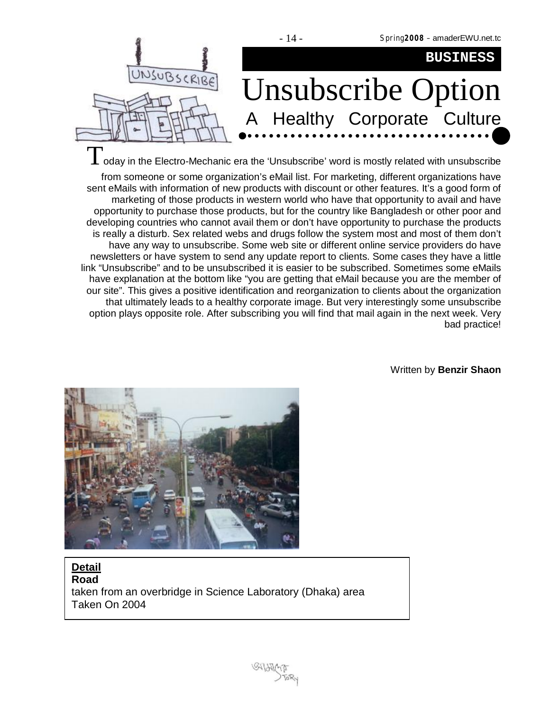**BUSINESS**



A Healthy Corporate Culture  $\perp$  oday in the Electro-Mechanic era the 'Unsubscribe' word is mostly related with unsubscribe from someone or some organization's eMail list. For marketing, different organizations have

sent eMails with information of new products with discount or other features. It's a good form of marketing of those products in western world who have that opportunity to avail and have opportunity to purchase those products, but for the country like Bangladesh or other poor and developing countries who cannot avail them or don't have opportunity to purchase the products is really a disturb. Sex related webs and drugs follow the system most and most of them don't have any way to unsubscribe. Some web site or different online service providers do have newsletters or have system to send any update report to clients. Some cases they have a little link "Unsubscribe" and to be unsubscribed it is easier to be subscribed. Sometimes some eMails have explanation at the bottom like "you are getting that eMail because you are the member of our site". This gives a positive identification and reorganization to clients about the organization that ultimately leads to a healthy corporate image. But very interestingly some unsubscribe option plays opposite role. After subscribing you will find that mail again in the next week. Very bad practice!

Written by **Benzir Shaon**



**Detail Road** taken from an overbridge in Science Laboratory (Dhaka) area Taken On 2004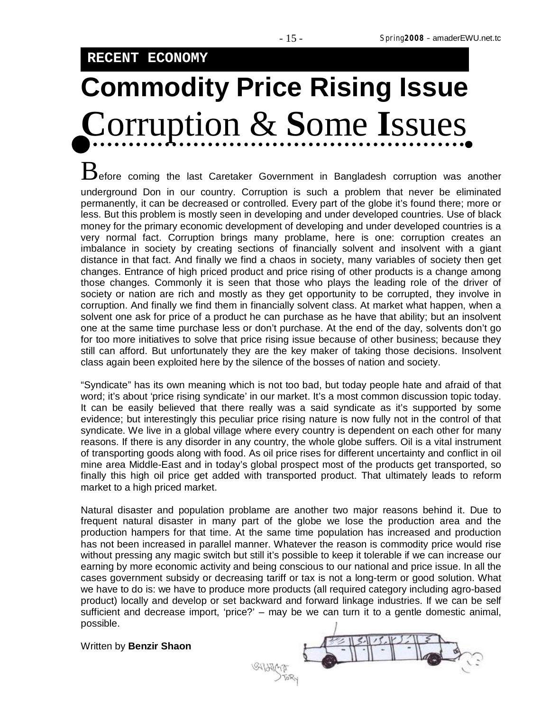## **Commodity Price Rising Issue C**orruption & **S**ome **I**ssues

 $\mathbf B$ efore coming the last Caretaker Government in Bangladesh corruption was another underground Don in our country. Corruption is such a problem that never be eliminated permanently, it can be decreased or controlled. Every part of the globe it's found there; more or less. But this problem is mostly seen in developing and under developed countries. Use of black money for the primary economic development of developing and under developed countries is a very normal fact. Corruption brings many problame, here is one: corruption creates an imbalance in society by creating sections of financially solvent and insolvent with a giant distance in that fact. And finally we find a chaos in society, many variables of society then get changes. Entrance of high priced product and price rising of other products is a change among those changes. Commonly it is seen that those who plays the leading role of the driver of society or nation are rich and mostly as they get opportunity to be corrupted, they involve in corruption. And finally we find them in financially solvent class. At market what happen, when a solvent one ask for price of a product he can purchase as he have that ability; but an insolvent one at the same time purchase less or don't purchase. At the end of the day, solvents don't go for too more initiatives to solve that price rising issue because of other business; because they still can afford. But unfortunately they are the key maker of taking those decisions. Insolvent class again been exploited here by the silence of the bosses of nation and society.

"Syndicate" has its own meaning which is not too bad, but today people hate and afraid of that word; it's about 'price rising syndicate' in our market. It's a most common discussion topic today. It can be easily believed that there really was a said syndicate as it's supported by some evidence; but interestingly this peculiar price rising nature is now fully not in the control of that syndicate. We live in a global village where every country is dependent on each other for many reasons. If there is any disorder in any country, the whole globe suffers. Oil is a vital instrument of transporting goods along with food. As oil price rises for different uncertainty and conflict in oil mine area Middle-East and in today's global prospect most of the products get transported, so finally this high oil price get added with transported product. That ultimately leads to reform market to a high priced market.

Natural disaster and population problame are another two major reasons behind it. Due to frequent natural disaster in many part of the globe we lose the production area and the production hampers for that time. At the same time population has increased and production has not been increased in parallel manner. Whatever the reason is commodity price would rise without pressing any magic switch but still it's possible to keep it tolerable if we can increase our earning by more economic activity and being conscious to our national and price issue. In all the cases government subsidy or decreasing tariff or tax is not a long-term or good solution. What we have to do is: we have to produce more products (all required category including agro-based product) locally and develop or set backward and forward linkage industries. If we can be self sufficient and decrease import, 'price?' – may be we can turn it to a gentle domestic animal, possible.

Written by **Benzir Shaon**

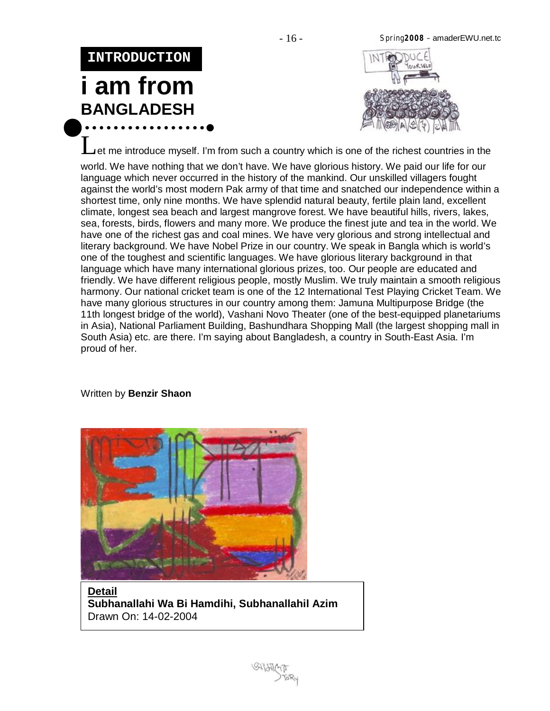

### **INTRODUCTION**

### **i am from BANGLADESH**



et me introduce myself. I'm from such a country which is one of the richest countries in the world. We have nothing that we don't have. We have glorious history. We paid our life for our language which never occurred in the history of the mankind. Our unskilled villagers fought against the world's most modern Pak army of that time and snatched our independence within a shortest time, only nine months. We have splendid natural beauty, fertile plain land, excellent climate, longest sea beach and largest mangrove forest. We have beautiful hills, rivers, lakes, sea, forests, birds, flowers and many more. We produce the finest jute and tea in the world. We have one of the richest gas and coal mines. We have very glorious and strong intellectual and literary background. We have Nobel Prize in our country. We speak in Bangla which is world's one of the toughest and scientific languages. We have glorious literary background in that language which have many international glorious prizes, too. Our people are educated and friendly. We have different religious people, mostly Muslim. We truly maintain a smooth religious harmony. Our national cricket team is one of the 12 International Test Playing Cricket Team. We have many glorious structures in our country among them: Jamuna Multipurpose Bridge (the 11th longest bridge of the world), Vashani Novo Theater (one of the best-equipped planetariums in Asia), National Parliament Building, Bashundhara Shopping Mall (the largest shopping mall in South Asia) etc. are there. I'm saying about Bangladesh, a country in South-East Asia. I'm proud of her.

Written by **Benzir Shaon**



**Detail Subhanallahi Wa Bi Hamdihi, Subhanallahil Azim** Drawn On: 14-02-2004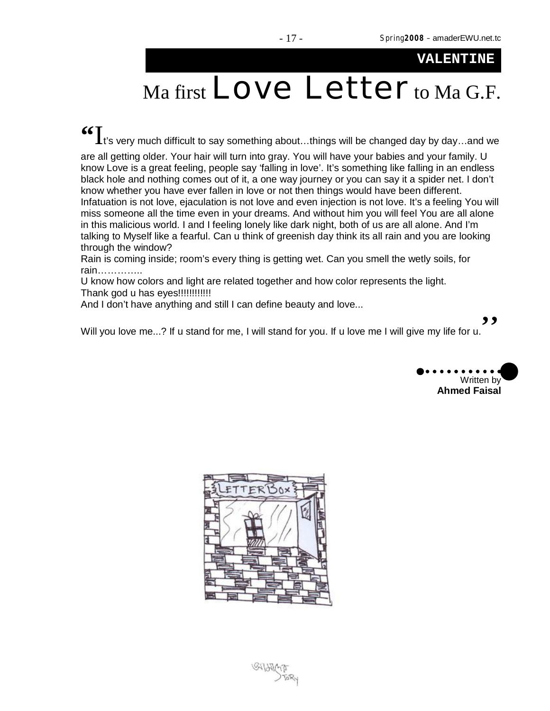#### **VALENTINE**

### Ma first  $Love$  Letter to Ma G.F.

**<sup>66</sup>I**t's very much difficult to say something about...things will be changed day by day...and we

are all getting older. Your hair will turn into gray. You will have your babies and your family. U know Love is a great feeling, people say 'falling in love'. It's something like falling in an endless black hole and nothing comes out of it, a one way journey or you can say it a spider net. I don't know whether you have ever fallen in love or not then things would have been different. Infatuation is not love, ejaculation is not love and even injection is not love. It's a feeling You will miss someone all the time even in your dreams. And without him you will feel You are all alone in this malicious world. I and I feeling lonely like dark night, both of us are all alone. And I'm talking to Myself like a fearful. Can u think of greenish day think its all rain and you are looking through the window?

Rain is coming inside; room's every thing is getting wet. Can you smell the wetly soils, for rain…………..

U know how colors and light are related together and how color represents the light. Thank god u has eyes!!!!!!!!!!!!

And I don't have anything and still I can define beauty and love...

Will you love me...? If u stand for me, I will stand for you. If u love me I will give my life for u.



**''**



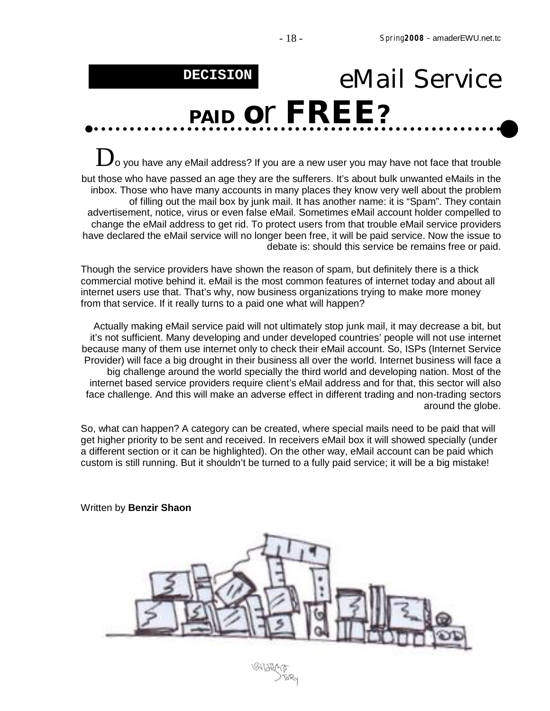eMail Service

### **DECISION**

### **PAID o**r **FREE?**

 $\bm{J}_{\rm o}$  you have any eMail address? If you are a new user you may have not face that trouble but those who have passed an age they are the sufferers. It's about bulk unwanted eMails in the inbox. Those who have many accounts in many places they know very well about the problem of filling out the mail box by junk mail. It has another name: it is "Spam". They contain advertisement, notice, virus or even false eMail. Sometimes eMail account holder compelled to change the eMail address to get rid. To protect users from that trouble eMail service providers have declared the eMail service will no longer been free, it will be paid service. Now the issue to debate is: should this service be remains free or paid.

Though the service providers have shown the reason of spam, but definitely there is a thick commercial motive behind it. eMail is the most common features of internet today and about all internet users use that. That's why, now business organizations trying to make more money from that service. If it really turns to a paid one what will happen?

Actually making eMail service paid will not ultimately stop junk mail, it may decrease a bit, but it's not sufficient. Many developing and under developed countries' people will not use internet because many of them use internet only to check their eMail account. So, ISPs (Internet Service Provider) will face a big drought in their business all over the world. Internet business will face a big challenge around the world specially the third world and developing nation. Most of the internet based service providers require client's eMail address and for that, this sector will also face challenge. And this will make an adverse effect in different trading and non-trading sectors around the globe.

So, what can happen? A category can be created, where special mails need to be paid that will get higher priority to be sent and received. In receivers eMail box it will showed specially (under a different section or it can be highlighted). On the other way, eMail account can be paid which custom is still running. But it shouldn't be turned to a fully paid service; it will be a big mistake!

#### Written by **Benzir Shaon**

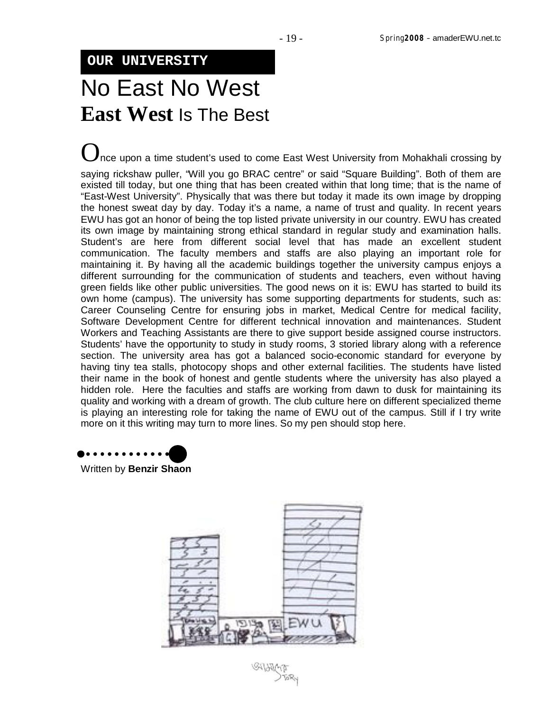### **OUR UNIVERSITY**

### No East No West **East West** Is The Best

nce upon a time student's used to come East West University from Mohakhali crossing by saying rickshaw puller, "Will you go BRAC centre" or said "Square Building". Both of them are existed till today, but one thing that has been created within that long time; that is the name of "East-West University". Physically that was there but today it made its own image by dropping the honest sweat day by day. Today it's a name, a name of trust and quality. In recent years EWU has got an honor of being the top listed private university in our country. EWU has created its own image by maintaining strong ethical standard in regular study and examination halls. Student's are here from different social level that has made an excellent student communication. The faculty members and staffs are also playing an important role for maintaining it. By having all the academic buildings together the university campus enjoys a different surrounding for the communication of students and teachers, even without having green fields like other public universities. The good news on it is: EWU has started to build its own home (campus). The university has some supporting departments for students, such as: Career Counseling Centre for ensuring jobs in market, Medical Centre for medical facility, Software Development Centre for different technical innovation and maintenances. Student Workers and Teaching Assistants are there to give support beside assigned course instructors. Students' have the opportunity to study in study rooms, 3 storied library along with a reference section. The university area has got a balanced socio-economic standard for everyone by having tiny tea stalls, photocopy shops and other external facilities. The students have listed their name in the book of honest and gentle students where the university has also played a hidden role. Here the faculties and staffs are working from dawn to dusk for maintaining its quality and working with a dream of growth. The club culture here on different specialized theme is playing an interesting role for taking the name of EWU out of the campus. Still if I try write more on it this writing may turn to more lines. So my pen should stop here.



Written by **Benzir Shaon**



**SARRA**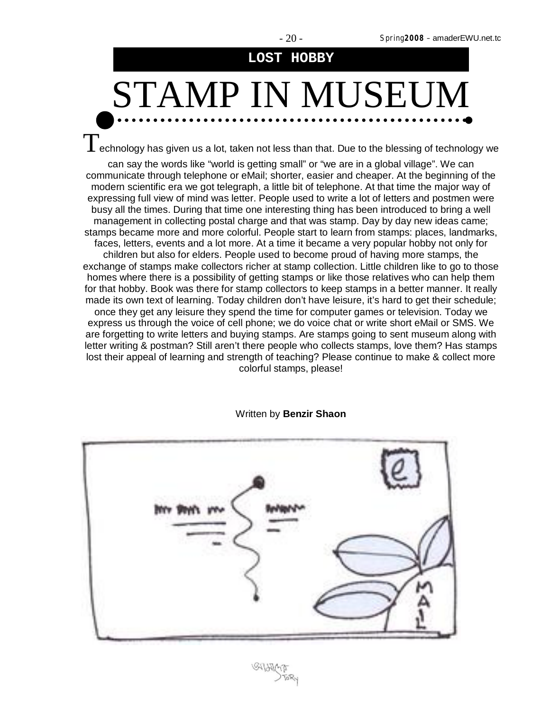#### **LOST HOBBY**

# STAMP IN MUSEUM

 $\prod$ echnology has given us a lot, taken not less than that. Due to the blessing of technology we

can say the words like "world is getting small" or "we are in a global village". We can communicate through telephone or eMail; shorter, easier and cheaper. At the beginning of the modern scientific era we got telegraph, a little bit of telephone. At that time the major way of expressing full view of mind was letter. People used to write a lot of letters and postmen were busy all the times. During that time one interesting thing has been introduced to bring a well management in collecting postal charge and that was stamp. Day by day new ideas came; stamps became more and more colorful. People start to learn from stamps: places, landmarks, faces, letters, events and a lot more. At a time it became a very popular hobby not only for children but also for elders. People used to become proud of having more stamps, the exchange of stamps make collectors richer at stamp collection. Little children like to go to those homes where there is a possibility of getting stamps or like those relatives who can help them for that hobby. Book was there for stamp collectors to keep stamps in a better manner. It really made its own text of learning. Today children don't have leisure, it's hard to get their schedule; once they get any leisure they spend the time for computer games or television. Today we express us through the voice of cell phone; we do voice chat or write short eMail or SMS. We are forgetting to write letters and buying stamps. Are stamps going to sent museum along with letter writing & postman? Still aren't there people who collects stamps, love them? Has stamps lost their appeal of learning and strength of teaching? Please continue to make & collect more colorful stamps, please!



Written by **Benzir Shaon**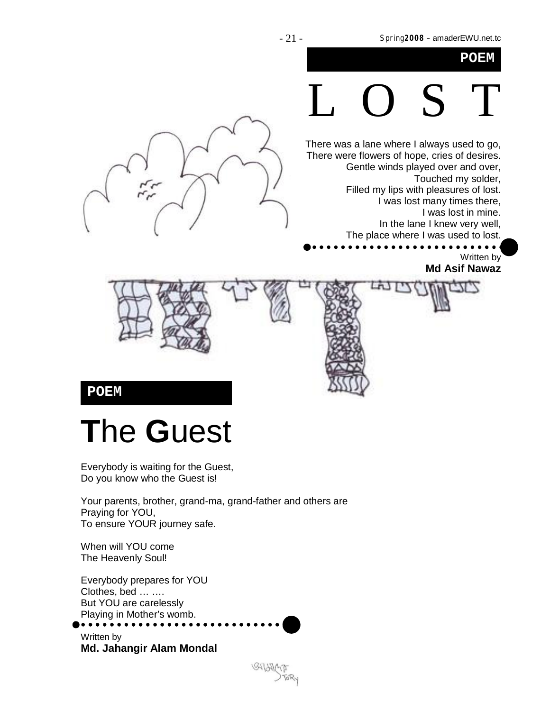#### **POEM**

Written by

**Md Asif Nawaz** 

# L O S T



There was a lane where I always used to go, There were flowers of hope, cries of desires. Gentle winds played over and over, Touched my solder, Filled my lips with pleasures of lost. I was lost many times there, I was lost in mine. In the lane I knew very well, The place where I was used to lost.

**POEM**

### **T**he **G**uest

Everybody is waiting for the Guest, Do you know who the Guest is!

Your parents, brother, grand-ma, grand-father and others are Praying for YOU, To ensure YOUR journey safe.

When will YOU come The Heavenly Soul!

Everybody prepares for YOU Clothes, bed … …. But YOU are carelessly Playing in Mother's womb.

Written by **Md. Jahangir Alam Mondal** 

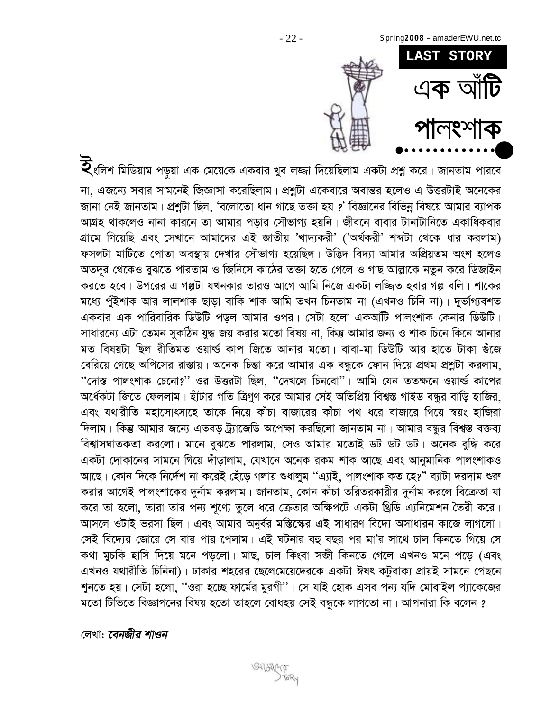

 $\overline{\bm{\zeta}}$ ংলিশ মিডিয়াম পড়ুয়া এক মেয়েকে একবার খুব লজ্জা দিয়েছিলাম একটা প্রশ্ন করে। জানতাম পারবে না, এজন্যে সবার সামনেই জিজ্ঞাসা করেছিলাম। প্রশ্নটা একেবারে অবান্তর হলেও এ উত্তরটাই অনেকের জানা নেই জানতাম। প্রশুটা ছিল, 'বলোতো ধান গাছে তক্তা হয় ?' বিজ্ঞানের বিভিন্ন বিষয়ে আমার ব্যাপক আগ্রহ থাকলেও নানা কারনে তা আমার পড়ার সৌভাগ্য হয়নি। জীবনে বাবার টানাটানিতে একাধিকবার গ্রামে গিয়েছি এবং সেখানে আমাদের এই জাতীয় 'খাদ্যকরী' ('অর্থকরী' শব্দটা থেকে ধার করলাম) ফসলটা মাটিতে পোতা অবস্থায় দেখার সৌভাগ্য হয়েছিল। উদ্ভিদ বিদ্যা আমার অপ্রিয়তম অংশ হলেও অতদূর থেকেও বুঝতে পারতাম ও জিনিসে কাঠের তক্তা হতে গেলে ও গাছ আল্লাকে নতুন করে ডিজাইন করতে হবে। উপরের এ গল্পটা যখনকার তারও আগে আমি নিজে একটা লজ্জিত হবার গল্প বলি। শাকের মধ্যে পুঁইশাক আর লালশাক ছাড়া বাকি শাক আমি তখন চিনতাম না (এখনও চিনি না)। দুর্ভগ্যিবশত একবার এক পারিবারিক ডিউটি পড়ল আমার ওপর। সেটা হলো একআঁটি পালংশাক কেনার ডিউটি। সাধারন্যে এটা তেমন সুকঠিন যুদ্ধ জয় করার মতো বিষয় না, কিন্তু আমার জন্য ও শাক চিনে কিনে আনার মত বিষয়টা ছিল রীতিমত ওয়ার্ল্ড কাপ জিতে আনার মতো। বাবা-মা ডিউটি আর হাতে টাকা গুঁজে বেরিয়ে গেছে অপিসের রাস্তায়। অনেক চিন্তা করে আমার এক বন্ধকে ফোন দিয়ে প্রথম প্রশুটা করলাম, ''দোস্ত পালংশাক চেনো?'' ওর উত্তরটা ছিল, ''দেখলে চিনবো''। আমি যেন ততক্ষনে ওয়ার্ল্ড কাপের অর্ধেকটা জিতে ফেললাম। হাঁটার গতি ত্রিগুণ করে আমার সেই অতিপ্রিয় বিশ্বস্ত গাইড বন্ধুর বাড়ি হাজির, এবং যথারীতি মহাসোৎসাহে তাকে নিয়ে কাঁচা বাজারের কাঁচা পথ ধরে বাজারে গিয়ে স্বয়ং হাজিরা দিলাম। কিন্তু আমার জন্যে এতবড় ট্র্যাজেডি অপেক্ষা করছিলো জানতাম না। আমার বন্ধুর বিশ্বস্ত বক্তব্য বিশ্বাসঘাতকতা করলো। মানে বুঝতে পারলাম, সেও আমার মতোই ডট ডট ডট। অনেক বুদ্ধি করে একটা দোকানের সামনে গিয়ে দাঁড়ালাম, যেখানে অনেক রকম শাক আছে এবং আনুমানিক পালংশাকও আছে। কোন দিকে নির্দেশ না করেই হেঁড়ে গলায় শুধালুম ''এ্যাই, পালংশাক কত হে?" ব্যাটা দরদাম শুরু করার আগেই পালংশাকের দুর্নাম করলাম। জানতাম, কোন কাঁচা তরিতরকারীর দুর্নাম করলে বিক্রেতা যা করে তা হলো, তারা তার পন্য শূণ্যে তুলে ধরে ক্রেতার অক্ষিপটে একটা থ্রিডি এ্যনিমেশন তৈরী করে। আসলে ওটাই ভরসা ছিল। এবং আমার অনূর্বর মস্তিস্কের এই সাধারণ বিদ্যে অসাধারন কাজে লাগলো। সেই বিদ্যের জোরে সে বার পার পেলাম। এই ঘটনার বহু বছর পর মা'র সাথে চাল কিনতে গিয়ে সে কথা মুচকি হাসি দিয়ে মনে পড়লো। মাছ, চাল কিংবা সজী কিনতে গেলে এখনও মনে পড়ে (এবং এখনও যথারীতি চিনিনা)। ঢাকার শহরের ছেলেমেয়েদেরকে একটা ঈষৎ কটুবাক্য প্রায়ই সামনে পেছনে শুনতে হয়। সেটা হলো, "ওরা হচ্ছে ফার্মের মুরগী"। সে যাই হোক এসব পন্য যদি মোবাইল প্যাকেজের মতো টিভিতে বিজ্ঞাপনের বিষয় হতো তাহলে বোধহয় সেই বন্ধকে লাগতো না। আপনারা কি বলেন ?

 $-22-$ 

লেখা: **বেনজীর শাওন**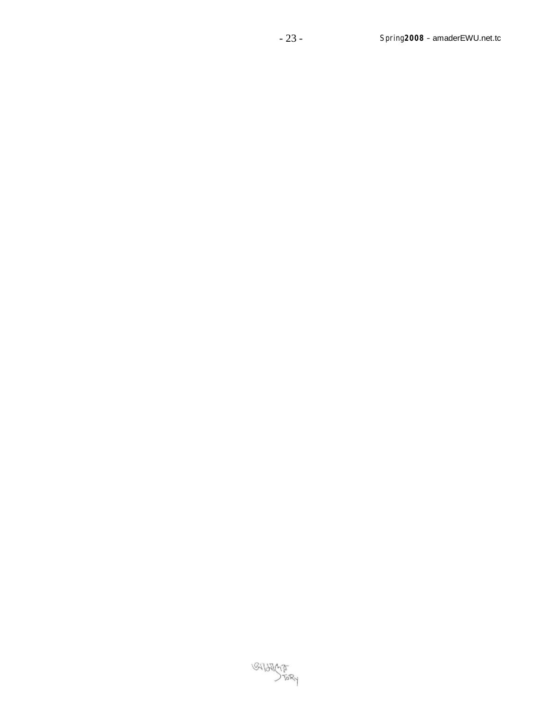$-23-$